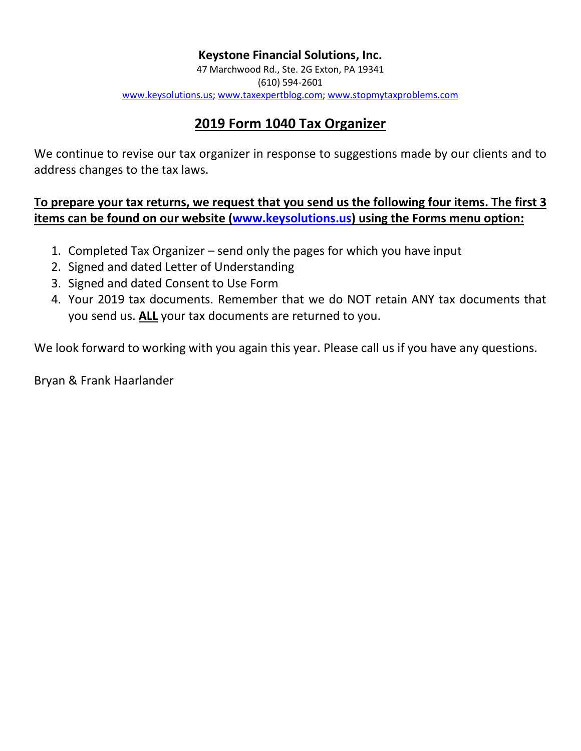# **Keystone Financial Solutions, Inc.**

47 Marchwood Rd., Ste. 2G Exton, PA 19341 (610) 594-2601 [www.keysolutions.us;](http://www.keysolutions.us/) [www.taxexpertblog.com;](http://www.taxexpertblog.com/) [www.stopmytaxproblems.com](http://www.stopmytaxproblems.com/)

# **2019 Form 1040 Tax Organizer**

We continue to revise our tax organizer in response to suggestions made by our clients and to address changes to the tax laws.

**To prepare your tax returns, we request that you send us the following four items. The first 3 items can be found on our website [\(www.keysolutions.us\)](http://www.keysolutions.us/) using the Forms menu option:**

- 1. Completed Tax Organizer send only the pages for which you have input
- 2. Signed and dated Letter of Understanding
- 3. Signed and dated Consent to Use Form
- 4. Your 2019 tax documents. Remember that we do NOT retain ANY tax documents that you send us. **ALL** your tax documents are returned to you.

We look forward to working with you again this year. Please call us if you have any questions.

Bryan & Frank Haarlander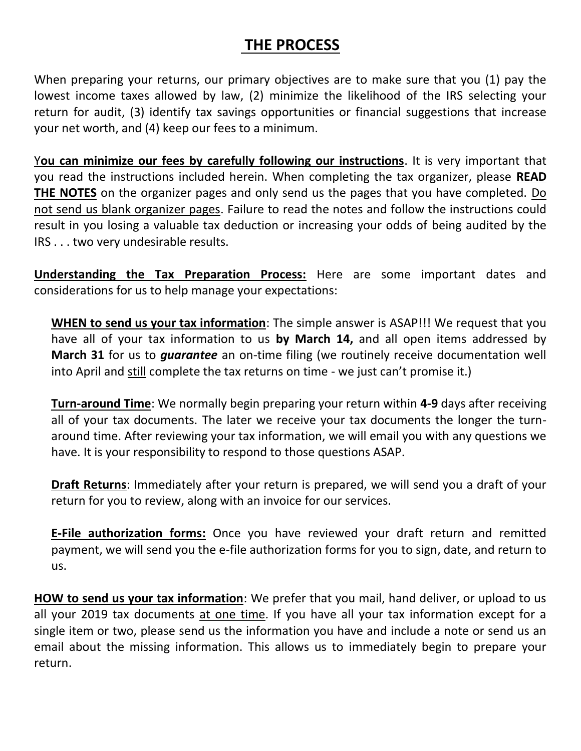# **THE PROCESS**

When preparing your returns, our primary objectives are to make sure that you (1) pay the lowest income taxes allowed by law, (2) minimize the likelihood of the IRS selecting your return for audit, (3) identify tax savings opportunities or financial suggestions that increase your net worth, and (4) keep our fees to a minimum.

Y**ou can minimize our fees by carefully following our instructions**. It is very important that you read the instructions included herein. When completing the tax organizer, please **READ THE NOTES** on the organizer pages and only send us the pages that you have completed. Do not send us blank organizer pages. Failure to read the notes and follow the instructions could result in you losing a valuable tax deduction or increasing your odds of being audited by the IRS . . . two very undesirable results.

**Understanding the Tax Preparation Process:** Here are some important dates and considerations for us to help manage your expectations:

**WHEN to send us your tax information**: The simple answer is ASAP!!! We request that you have all of your tax information to us **by March 14,** and all open items addressed by **March 31** for us to *guarantee* an on-time filing (we routinely receive documentation well into April and still complete the tax returns on time - we just can't promise it.)

**Turn-around Time**: We normally begin preparing your return within **4-9** days after receiving all of your tax documents. The later we receive your tax documents the longer the turnaround time. After reviewing your tax information, we will email you with any questions we have. It is your responsibility to respond to those questions ASAP.

**Draft Returns**: Immediately after your return is prepared, we will send you a draft of your return for you to review, along with an invoice for our services.

**E-File authorization forms:** Once you have reviewed your draft return and remitted payment, we will send you the e-file authorization forms for you to sign, date, and return to us.

**HOW to send us your tax information**: We prefer that you mail, hand deliver, or upload to us all your 2019 tax documents at one time. If you have all your tax information except for a single item or two, please send us the information you have and include a note or send us an email about the missing information. This allows us to immediately begin to prepare your return.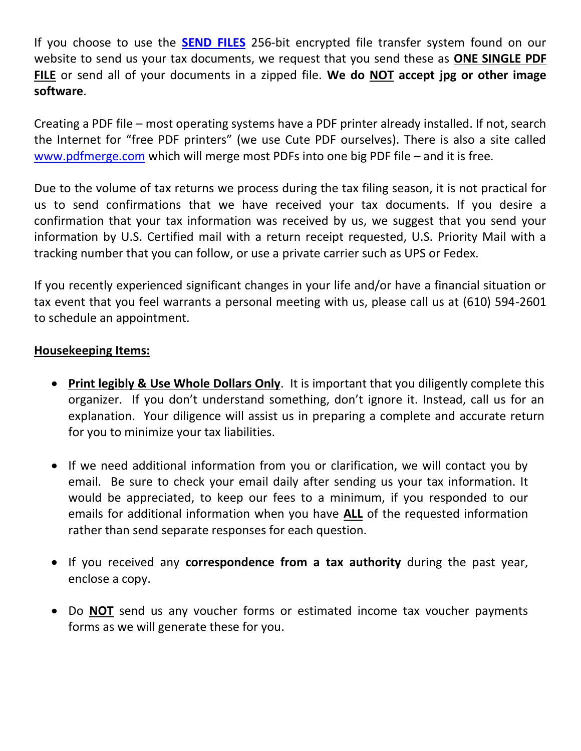If you choose to use the **[SEND FILES](https://www.accountingsecureshare.com/files/request.php?account=info@keysolutions.us)** 256-bit encrypted file transfer system found on our website to send us your tax documents, we request that you send these as **ONE SINGLE PDF FILE** or send all of your documents in a zipped file. **We do NOT accept jpg or other image software**.

Creating a PDF file – most operating systems have a PDF printer already installed. If not, search the Internet for "free PDF printers" (we use Cute PDF ourselves). There is also a site called [www.pdfmerge.com](http://www.pdfmerge.com/) which will merge most PDFs into one big PDF file – and it is free.

Due to the volume of tax returns we process during the tax filing season, it is not practical for us to send confirmations that we have received your tax documents. If you desire a confirmation that your tax information was received by us, we suggest that you send your information by U.S. Certified mail with a return receipt requested, U.S. Priority Mail with a tracking number that you can follow, or use a private carrier such as UPS or Fedex.

If you recently experienced significant changes in your life and/or have a financial situation or tax event that you feel warrants a personal meeting with us, please call us at (610) 594-2601 to schedule an appointment.

# **Housekeeping Items:**

- **Print legibly & Use Whole Dollars Only**. It is important that you diligently complete this organizer. If you don't understand something, don't ignore it. Instead, call us for an explanation. Your diligence will assist us in preparing a complete and accurate return for you to minimize your tax liabilities.
- If we need additional information from you or clarification, we will contact you by email. Be sure to check your email daily after sending us your tax information. It would be appreciated, to keep our fees to a minimum, if you responded to our emails for additional information when you have **ALL** of the requested information rather than send separate responses for each question.
- If you received any **correspondence from a tax authority** during the past year, enclose a copy.
- Do **NOT** send us any voucher forms or estimated income tax voucher payments forms as we will generate these for you.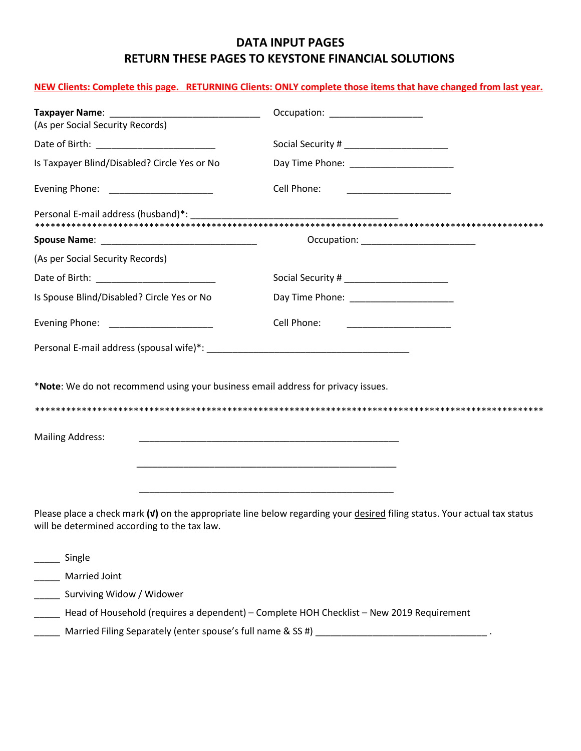# **DATA INPUT PAGES RETURN THESE PAGES TO KEYSTONE FINANCIAL SOLUTIONS**

## **NEW Clients: Complete this page. RETURNING Clients: ONLY complete those items that have changed from last year.**

| (As per Social Security Records)                                                 |                                                                                                                            |
|----------------------------------------------------------------------------------|----------------------------------------------------------------------------------------------------------------------------|
|                                                                                  |                                                                                                                            |
| Is Taxpayer Blind/Disabled? Circle Yes or No                                     |                                                                                                                            |
| Evening Phone: ______________________                                            | Cell Phone:                                                                                                                |
|                                                                                  |                                                                                                                            |
|                                                                                  | Occupation: ________________________                                                                                       |
| (As per Social Security Records)                                                 |                                                                                                                            |
|                                                                                  |                                                                                                                            |
| Is Spouse Blind/Disabled? Circle Yes or No                                       | Day Time Phone: ______________________                                                                                     |
| Evening Phone: _____________________                                             | Cell Phone:                                                                                                                |
|                                                                                  |                                                                                                                            |
| *Note: We do not recommend using your business email address for privacy issues. |                                                                                                                            |
|                                                                                  |                                                                                                                            |
| <b>Mailing Address:</b>                                                          |                                                                                                                            |
|                                                                                  |                                                                                                                            |
|                                                                                  |                                                                                                                            |
| will be determined according to the tax law.                                     | Please place a check mark $(v)$ on the appropriate line below regarding your desired filing status. Your actual tax status |
| Single                                                                           |                                                                                                                            |
| Married Joint                                                                    |                                                                                                                            |
| Surviving Widow / Widower                                                        |                                                                                                                            |
|                                                                                  | Head of Household (requires a dependent) - Complete HOH Checklist - New 2019 Requirement                                   |

\_\_\_\_\_ Married Filing Separately (enter spouse's full name & SS #) \_\_\_\_\_\_\_\_\_\_\_\_\_\_\_\_\_\_\_\_\_\_\_\_\_\_\_\_\_\_\_\_\_ .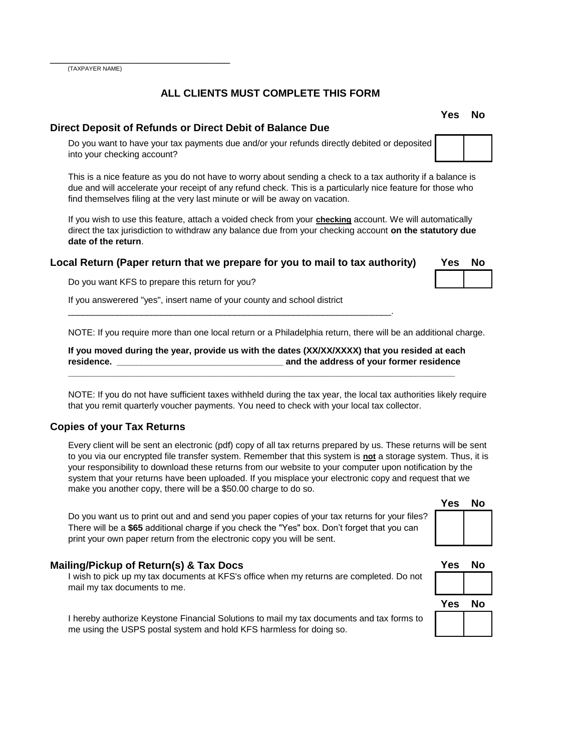(TAXPAYER NAME)

\_\_\_\_\_\_\_\_\_\_\_\_\_\_\_\_\_\_\_\_\_\_\_\_\_\_\_\_\_\_\_

#### **ALL CLIENTS MUST COMPLETE THIS FORM**

#### **Direct Deposit of Refunds or Direct Debit of Balance Due**

Do you want to have your tax payments due and/or your refunds directly debited or deposited into your checking account?

This is a nice feature as you do not have to worry about sending a check to a tax authority if a balance is due and will accelerate your receipt of any refund check. This is a particularly nice feature for those who find themselves filing at the very last minute or will be away on vacation.

If you wish to use this feature, attach a voided check from your **checking** account. We will automatically direct the tax jurisdiction to withdraw any balance due from your checking account **on the statutory due date of the return**.

#### **Local Return (Paper return that we prepare for you to mail to tax authority)**

\_\_\_\_\_\_\_\_\_\_\_\_\_\_\_\_\_\_\_\_\_\_\_\_\_\_\_\_\_\_\_\_\_\_\_\_\_\_\_\_\_\_\_\_\_\_\_\_\_\_\_\_\_\_\_\_\_\_\_\_\_\_\_\_\_\_.

Do you want KFS to prepare this return for you?

If you answerered "yes", insert name of your county and school district

NOTE: If you require more than one local return or a Philadelphia return, there will be an additional charge.

**If you moved during the year, provide us with the dates (XX/XX/XXXX) that you resided at each residence. \_\_\_\_\_\_\_\_\_\_\_\_\_\_\_\_\_\_\_\_\_\_\_\_\_\_\_\_\_\_\_\_\_\_ and the address of your former residence** 

**\_\_\_\_\_\_\_\_\_\_\_\_\_\_\_\_\_\_\_\_\_\_\_\_\_\_\_\_\_\_\_\_\_\_\_\_\_\_\_\_\_\_\_\_\_\_\_\_\_\_\_\_\_\_\_\_\_\_\_\_\_\_\_\_\_\_\_\_\_\_\_\_\_\_\_\_\_\_\_** 

NOTE: If you do not have sufficient taxes withheld during the tax year, the local tax authorities likely require that you remit quarterly voucher payments. You need to check with your local tax collector.

#### **Copies of your Tax Returns**

Every client will be sent an electronic (pdf) copy of all tax returns prepared by us. These returns will be sent to you via our encrypted file transfer system. Remember that this system is **not** a storage system. Thus, it is your responsibility to download these returns from our website to your computer upon notification by the system that your returns have been uploaded. If you misplace your electronic copy and request that we make you another copy, there will be a \$50.00 charge to do so.

Do you want us to print out and and send you paper copies of your tax returns for your files? There will be a **\$65** additional charge if you check the "Yes" box. Don't forget that you can print your own paper return from the electronic copy you will be sent.

#### **Mailing/Pickup of Return(s) & Tax Docs**

I wish to pick up my tax documents at KFS's office when my returns are completed. Do not mail my tax documents to me.

I hereby authorize Keystone Financial Solutions to mail my tax documents and tax forms to me using the USPS postal system and hold KFS harmless for doing so.

# **Yes No**

| Yes | No |
|-----|----|
|     |    |
| Yes | No |

| Y<br>АS<br>ΙO<br>ν |  |
|--------------------|--|
|                    |  |
|                    |  |



**Yes No**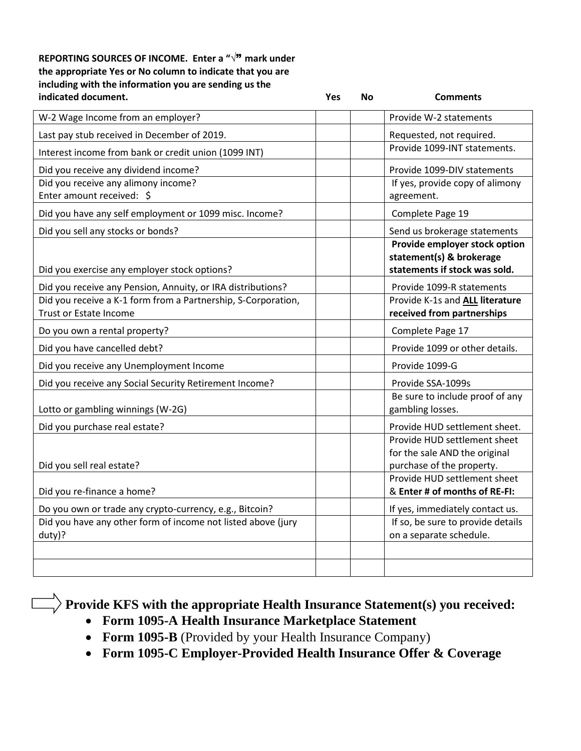#### **REPORTING SOURCES OF INCOME. Enter a "**√" **mark under the appropriate Yes or No column to indicate that you are including with the information you are sending us the indicated document. Yes No Comments**

| W-2 Wage Income from an employer?                                                              |  | Provide W-2 statements                                                                     |
|------------------------------------------------------------------------------------------------|--|--------------------------------------------------------------------------------------------|
| Last pay stub received in December of 2019.                                                    |  | Requested, not required.                                                                   |
| Interest income from bank or credit union (1099 INT)                                           |  | Provide 1099-INT statements.                                                               |
| Did you receive any dividend income?                                                           |  | Provide 1099-DIV statements                                                                |
| Did you receive any alimony income?<br>Enter amount received: \$                               |  | If yes, provide copy of alimony<br>agreement.                                              |
| Did you have any self employment or 1099 misc. Income?                                         |  | Complete Page 19                                                                           |
| Did you sell any stocks or bonds?                                                              |  | Send us brokerage statements                                                               |
| Did you exercise any employer stock options?                                                   |  | Provide employer stock option<br>statement(s) & brokerage<br>statements if stock was sold. |
| Did you receive any Pension, Annuity, or IRA distributions?                                    |  | Provide 1099-R statements                                                                  |
| Did you receive a K-1 form from a Partnership, S-Corporation,<br><b>Trust or Estate Income</b> |  | Provide K-1s and ALL literature<br>received from partnerships                              |
| Do you own a rental property?                                                                  |  | Complete Page 17                                                                           |
| Did you have cancelled debt?                                                                   |  | Provide 1099 or other details.                                                             |
| Did you receive any Unemployment Income                                                        |  | Provide 1099-G                                                                             |
| Did you receive any Social Security Retirement Income?                                         |  | Provide SSA-1099s                                                                          |
| Lotto or gambling winnings (W-2G)                                                              |  | Be sure to include proof of any<br>gambling losses.                                        |
| Did you purchase real estate?                                                                  |  | Provide HUD settlement sheet.                                                              |
| Did you sell real estate?                                                                      |  | Provide HUD settlement sheet<br>for the sale AND the original<br>purchase of the property. |
| Did you re-finance a home?                                                                     |  | Provide HUD settlement sheet<br>& Enter # of months of RE-FI:                              |
| Do you own or trade any crypto-currency, e.g., Bitcoin?                                        |  | If yes, immediately contact us.                                                            |
| Did you have any other form of income not listed above (jury<br>duty)?                         |  | If so, be sure to provide details<br>on a separate schedule.                               |
|                                                                                                |  |                                                                                            |
|                                                                                                |  |                                                                                            |

**Provide KFS with the appropriate Health Insurance Statement(s) you received:** 

- **Form 1095-A Health Insurance Marketplace Statement**
- **Form 1095-B** (Provided by your Health Insurance Company)
- **Form 1095-C Employer-Provided Health Insurance Offer & Coverage**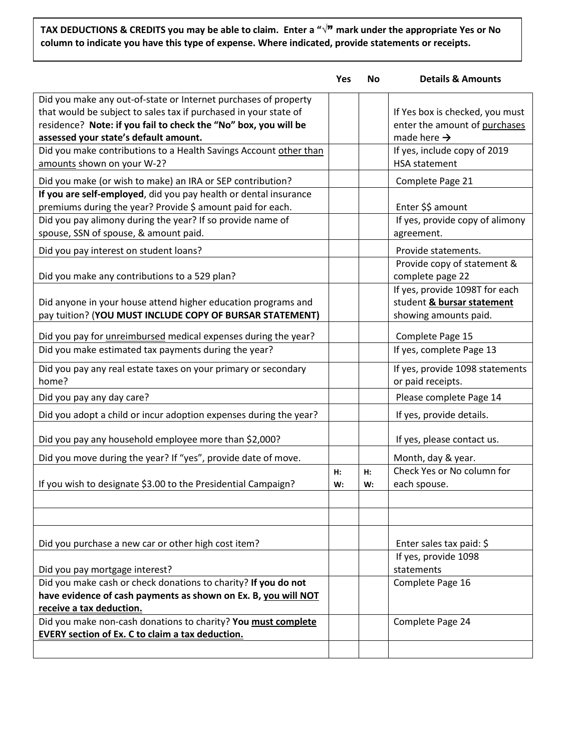# **TAX DEDUCTIONS & CREDITS you may be able to claim. Enter a "**√" **mark under the appropriate Yes or No column to indicate you have this type of expense. Where indicated, provide statements or receipts.**

|                                                                                                                                                                                                                                                 | Yes      | No       | <b>Details &amp; Amounts</b>                                                                |
|-------------------------------------------------------------------------------------------------------------------------------------------------------------------------------------------------------------------------------------------------|----------|----------|---------------------------------------------------------------------------------------------|
| Did you make any out-of-state or Internet purchases of property<br>that would be subject to sales tax if purchased in your state of<br>residence? Note: if you fail to check the "No" box, you will be<br>assessed your state's default amount. |          |          | If Yes box is checked, you must<br>enter the amount of purchases<br>made here $\rightarrow$ |
| Did you make contributions to a Health Savings Account other than<br>amounts shown on your W-2?                                                                                                                                                 |          |          | If yes, include copy of 2019<br><b>HSA</b> statement                                        |
| Did you make (or wish to make) an IRA or SEP contribution?                                                                                                                                                                                      |          |          | Complete Page 21                                                                            |
| If you are self-employed, did you pay health or dental insurance<br>premiums during the year? Provide \$ amount paid for each.                                                                                                                  |          |          | Enter \$\$ amount                                                                           |
| Did you pay alimony during the year? If so provide name of<br>spouse, SSN of spouse, & amount paid.                                                                                                                                             |          |          | If yes, provide copy of alimony<br>agreement.                                               |
| Did you pay interest on student loans?                                                                                                                                                                                                          |          |          | Provide statements.                                                                         |
| Did you make any contributions to a 529 plan?                                                                                                                                                                                                   |          |          | Provide copy of statement &<br>complete page 22                                             |
| Did anyone in your house attend higher education programs and<br>pay tuition? (YOU MUST INCLUDE COPY OF BURSAR STATEMENT)                                                                                                                       |          |          | If yes, provide 1098T for each<br>student & bursar statement<br>showing amounts paid.       |
| Did you pay for <i>unreimbursed</i> medical expenses during the year?                                                                                                                                                                           |          |          | Complete Page 15                                                                            |
| Did you make estimated tax payments during the year?                                                                                                                                                                                            |          |          | If yes, complete Page 13                                                                    |
| Did you pay any real estate taxes on your primary or secondary<br>home?                                                                                                                                                                         |          |          | If yes, provide 1098 statements<br>or paid receipts.                                        |
| Did you pay any day care?                                                                                                                                                                                                                       |          |          | Please complete Page 14                                                                     |
| Did you adopt a child or incur adoption expenses during the year?                                                                                                                                                                               |          |          | If yes, provide details.                                                                    |
| Did you pay any household employee more than \$2,000?                                                                                                                                                                                           |          |          | If yes, please contact us.                                                                  |
| Did you move during the year? If "yes", provide date of move.                                                                                                                                                                                   |          |          | Month, day & year.                                                                          |
| If you wish to designate \$3.00 to the Presidential Campaign?                                                                                                                                                                                   | H:<br>W: | Н:<br>W: | Check Yes or No column for<br>each spouse.                                                  |
|                                                                                                                                                                                                                                                 |          |          |                                                                                             |
| Did you purchase a new car or other high cost item?                                                                                                                                                                                             |          |          | Enter sales tax paid: \$                                                                    |
|                                                                                                                                                                                                                                                 |          |          | If yes, provide 1098                                                                        |
| Did you pay mortgage interest?<br>Did you make cash or check donations to charity? If you do not                                                                                                                                                |          |          | statements<br>Complete Page 16                                                              |
| have evidence of cash payments as shown on Ex. B, you will NOT<br>receive a tax deduction.                                                                                                                                                      |          |          |                                                                                             |
| Did you make non-cash donations to charity? You must complete<br><b>EVERY section of Ex. C to claim a tax deduction.</b>                                                                                                                        |          |          | Complete Page 24                                                                            |
|                                                                                                                                                                                                                                                 |          |          |                                                                                             |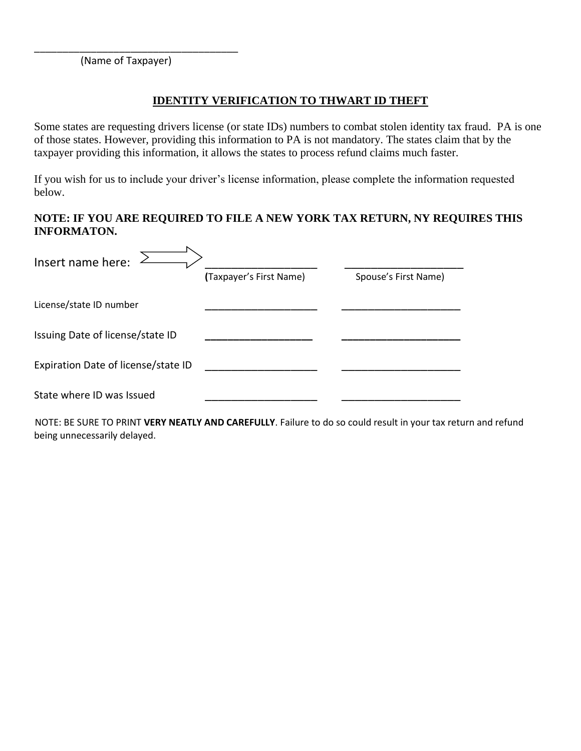(Name of Taxpayer)

\_\_\_\_\_\_\_\_\_\_\_\_\_\_\_\_\_\_\_\_\_\_\_\_\_\_\_\_\_\_\_\_\_\_\_\_

## **IDENTITY VERIFICATION TO THWART ID THEFT**

Some states are requesting drivers license (or state IDs) numbers to combat stolen identity tax fraud. PA is one of those states. However, providing this information to PA is not mandatory. The states claim that by the taxpayer providing this information, it allows the states to process refund claims much faster.

If you wish for us to include your driver's license information, please complete the information requested below.

## **NOTE: IF YOU ARE REQUIRED TO FILE A NEW YORK TAX RETURN, NY REQUIRES THIS INFORMATON.**

| Insert name here:                   |                         |                      |
|-------------------------------------|-------------------------|----------------------|
|                                     | (Taxpayer's First Name) | Spouse's First Name) |
| License/state ID number             |                         |                      |
| Issuing Date of license/state ID    |                         |                      |
| Expiration Date of license/state ID |                         |                      |
| State where ID was Issued           |                         |                      |

NOTE: BE SURE TO PRINT **VERY NEATLY AND CAREFULLY**. Failure to do so could result in your tax return and refund being unnecessarily delayed.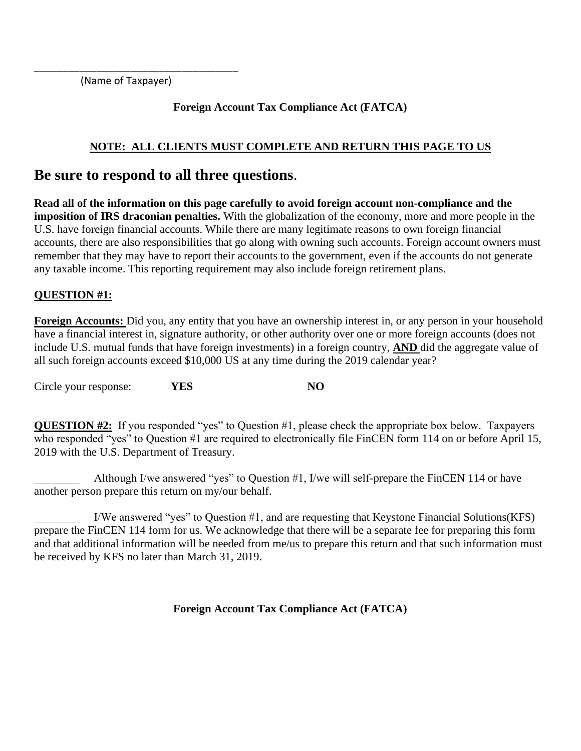(Name of Taxpayer)

\_\_\_\_\_\_\_\_\_\_\_\_\_\_\_\_\_\_\_\_\_\_\_\_\_\_\_\_\_\_\_\_\_\_\_\_

# **Foreign Account Tax Compliance Act (FATCA)**

# **NOTE: ALL CLIENTS MUST COMPLETE AND RETURN THIS PAGE TO US**

# **Be sure to respond to all three questions**.

**Read all of the information on this page carefully to avoid foreign account non-compliance and the imposition of IRS draconian penalties.** With the globalization of the economy, more and more people in the U.S. have foreign financial accounts. While there are many legitimate reasons to own foreign financial accounts, there are also responsibilities that go along with owning such accounts. Foreign account owners must remember that they may have to report their accounts to the government, even if the accounts do not generate any taxable income. This reporting requirement may also include foreign retirement plans.

# **QUESTION #1:**

**Foreign Accounts:** Did you, any entity that you have an ownership interest in, or any person in your household have a financial interest in, signature authority, or other authority over one or more foreign accounts (does not include U.S. mutual funds that have foreign investments) in a foreign country, **AND** did the aggregate value of all such foreign accounts exceed \$10,000 US at any time during the 2019 calendar year?

Circle your response: **YES NO**

**QUESTION #2:** If you responded "yes" to Question #1, please check the appropriate box below. Taxpayers who responded "yes" to Question #1 are required to electronically file FinCEN form 114 on or before April 15, 2019 with the U.S. Department of Treasury.

Although I/we answered "yes" to Question #1, I/we will self-prepare the FinCEN 114 or have another person prepare this return on my/our behalf.

\_\_\_\_\_\_\_\_ I/We answered "yes" to Question #1, and are requesting that Keystone Financial Solutions(KFS) prepare the FinCEN 114 form for us. We acknowledge that there will be a separate fee for preparing this form and that additional information will be needed from me/us to prepare this return and that such information must be received by KFS no later than March 31, 2019.

**Foreign Account Tax Compliance Act (FATCA)**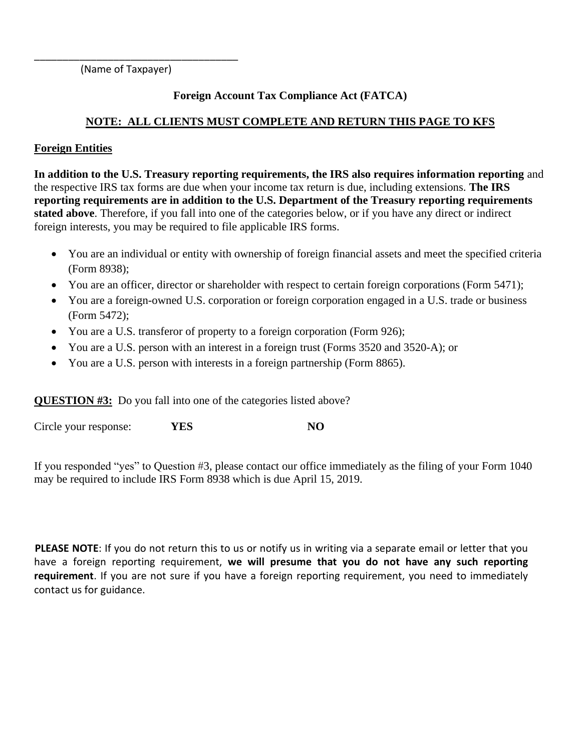(Name of Taxpayer)

\_\_\_\_\_\_\_\_\_\_\_\_\_\_\_\_\_\_\_\_\_\_\_\_\_\_\_\_\_\_\_\_\_\_\_\_

# **Foreign Account Tax Compliance Act (FATCA)**

# **NOTE: ALL CLIENTS MUST COMPLETE AND RETURN THIS PAGE TO KFS**

# **Foreign Entities**

**In addition to the U.S. Treasury reporting requirements, the IRS also requires information reporting** and the respective IRS tax forms are due when your income tax return is due, including extensions. **The IRS reporting requirements are in addition to the U.S. Department of the Treasury reporting requirements stated above**. Therefore, if you fall into one of the categories below, or if you have any direct or indirect foreign interests, you may be required to file applicable IRS forms.

- You are an individual or entity with ownership of foreign financial assets and meet the specified criteria (Form 8938);
- You are an officer, director or shareholder with respect to certain foreign corporations (Form 5471);
- You are a foreign-owned U.S. corporation or foreign corporation engaged in a U.S. trade or business (Form 5472);
- You are a U.S. transferor of property to a foreign corporation (Form 926);
- You are a U.S. person with an interest in a foreign trust (Forms 3520 and 3520-A); or
- You are a U.S. person with interests in a foreign partnership (Form 8865).

**QUESTION #3:** Do you fall into one of the categories listed above?

Circle your response: **YES NO**

If you responded "yes" to Question #3, please contact our office immediately as the filing of your Form 1040 may be required to include IRS Form 8938 which is due April 15, 2019.

**PLEASE NOTE**: If you do not return this to us or notify us in writing via a separate email or letter that you have a foreign reporting requirement, **we will presume that you do not have any such reporting requirement**. If you are not sure if you have a foreign reporting requirement, you need to immediately contact us for guidance.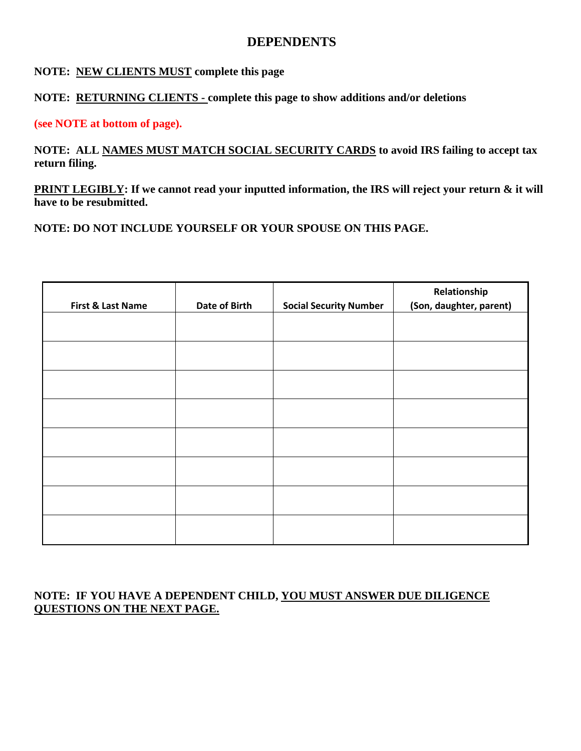# **DEPENDENTS**

#### **NOTE: NEW CLIENTS MUST complete this page**

## **NOTE: RETURNING CLIENTS - complete this page to show additions and/or deletions**

#### **(see NOTE at bottom of page).**

**NOTE: ALL NAMES MUST MATCH SOCIAL SECURITY CARDS to avoid IRS failing to accept tax return filing.** 

**PRINT LEGIBLY: If we cannot read your inputted information, the IRS will reject your return & it will have to be resubmitted.**

**NOTE: DO NOT INCLUDE YOURSELF OR YOUR SPOUSE ON THIS PAGE.**

| First & Last Name | Date of Birth | <b>Social Security Number</b> | Relationship<br>(Son, daughter, parent) |
|-------------------|---------------|-------------------------------|-----------------------------------------|
|                   |               |                               |                                         |
|                   |               |                               |                                         |
|                   |               |                               |                                         |
|                   |               |                               |                                         |
|                   |               |                               |                                         |
|                   |               |                               |                                         |
|                   |               |                               |                                         |
|                   |               |                               |                                         |
|                   |               |                               |                                         |

## **NOTE: IF YOU HAVE A DEPENDENT CHILD, YOU MUST ANSWER DUE DILIGENCE QUESTIONS ON THE NEXT PAGE.**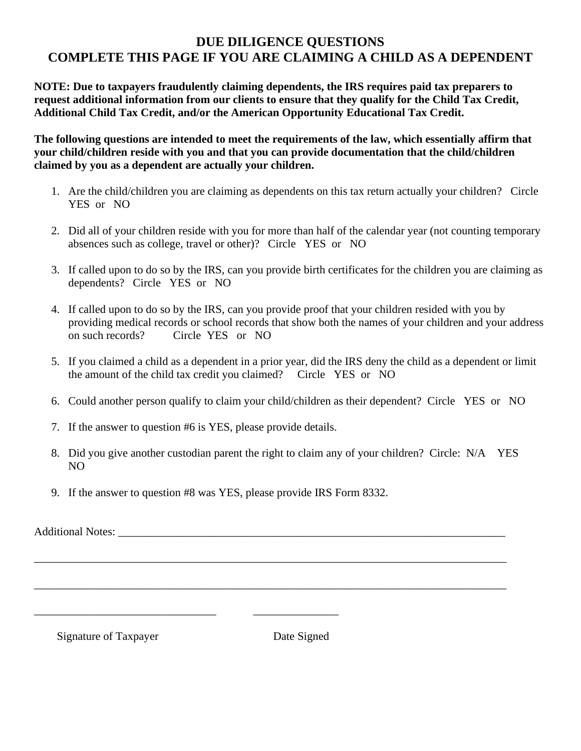# **DUE DILIGENCE QUESTIONS COMPLETE THIS PAGE IF YOU ARE CLAIMING A CHILD AS A DEPENDENT**

**NOTE: Due to taxpayers fraudulently claiming dependents, the IRS requires paid tax preparers to request additional information from our clients to ensure that they qualify for the Child Tax Credit, Additional Child Tax Credit, and/or the American Opportunity Educational Tax Credit.** 

**The following questions are intended to meet the requirements of the law, which essentially affirm that your child/children reside with you and that you can provide documentation that the child/children claimed by you as a dependent are actually your children.** 

- 1. Are the child/children you are claiming as dependents on this tax return actually your children? Circle YES or NO
- 2. Did all of your children reside with you for more than half of the calendar year (not counting temporary absences such as college, travel or other)? Circle YES or NO
- 3. If called upon to do so by the IRS, can you provide birth certificates for the children you are claiming as dependents? Circle YES or NO
- 4. If called upon to do so by the IRS, can you provide proof that your children resided with you by providing medical records or school records that show both the names of your children and your address on such records? Circle YES or NO
- 5. If you claimed a child as a dependent in a prior year, did the IRS deny the child as a dependent or limit the amount of the child tax credit you claimed? Circle YES or NO
- 6. Could another person qualify to claim your child/children as their dependent? Circle YES or NO
- 7. If the answer to question #6 is YES, please provide details.

\_\_\_\_\_\_\_\_\_\_\_\_\_\_\_\_\_\_\_\_\_\_\_\_\_\_\_\_\_\_\_\_ \_\_\_\_\_\_\_\_\_\_\_\_\_\_\_

8. Did you give another custodian parent the right to claim any of your children? Circle: N/A YES NO

\_\_\_\_\_\_\_\_\_\_\_\_\_\_\_\_\_\_\_\_\_\_\_\_\_\_\_\_\_\_\_\_\_\_\_\_\_\_\_\_\_\_\_\_\_\_\_\_\_\_\_\_\_\_\_\_\_\_\_\_\_\_\_\_\_\_\_\_\_\_\_\_\_\_\_\_\_\_\_\_\_\_\_

\_\_\_\_\_\_\_\_\_\_\_\_\_\_\_\_\_\_\_\_\_\_\_\_\_\_\_\_\_\_\_\_\_\_\_\_\_\_\_\_\_\_\_\_\_\_\_\_\_\_\_\_\_\_\_\_\_\_\_\_\_\_\_\_\_\_\_\_\_\_\_\_\_\_\_\_\_\_\_\_\_\_\_

9. If the answer to question #8 was YES, please provide IRS Form 8332.

Additional Notes: \_\_\_\_\_\_\_\_\_\_\_\_\_\_\_\_\_\_\_\_\_\_\_\_\_\_\_\_\_\_\_\_\_\_\_\_\_\_\_\_\_\_\_\_\_\_\_\_\_\_\_\_\_\_\_\_\_\_\_\_\_\_\_\_\_\_\_\_

Signature of Taxpayer Date Signed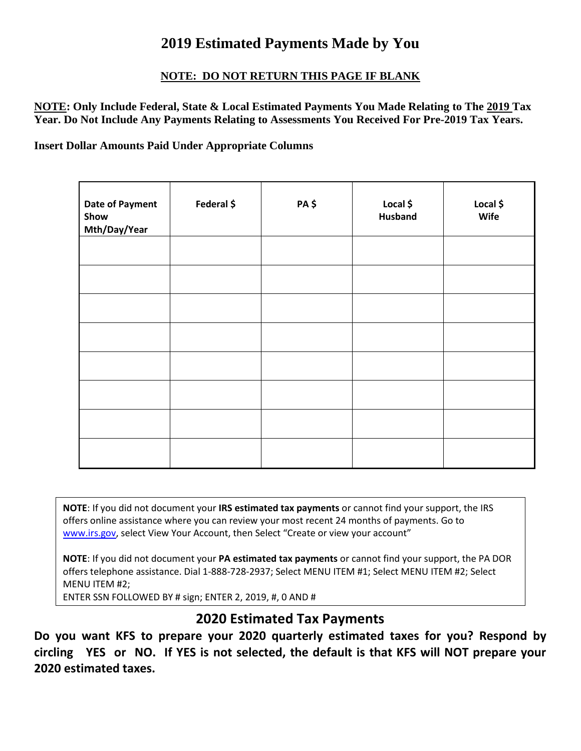# **2019 Estimated Payments Made by You**

# **NOTE: DO NOT RETURN THIS PAGE IF BLANK**

**NOTE: Only Include Federal, State & Local Estimated Payments You Made Relating to The 2019 Tax Year. Do Not Include Any Payments Relating to Assessments You Received For Pre-2019 Tax Years.** 

**Insert Dollar Amounts Paid Under Appropriate Columns**

| <b>Date of Payment</b><br>Show<br>Mth/Day/Year | Federal \$ | PA \$ | Local \$<br><b>Husband</b> | Local \$<br>Wife |
|------------------------------------------------|------------|-------|----------------------------|------------------|
|                                                |            |       |                            |                  |
|                                                |            |       |                            |                  |
|                                                |            |       |                            |                  |
|                                                |            |       |                            |                  |
|                                                |            |       |                            |                  |
|                                                |            |       |                            |                  |
|                                                |            |       |                            |                  |
|                                                |            |       |                            |                  |

**NOTE**: If you did not document your **IRS estimated tax payments** or cannot find your support, the IRS offers online assistance where you can review your most recent 24 months of payments. Go to [www.irs.gov](http://www.irs.gov/), select View Your Account, then Select "Create or view your account"

**NOTE**: If you did not document your **PA estimated tax payments** or cannot find your support, the PA DOR offers telephone assistance. Dial 1-888-728-2937; Select MENU ITEM #1; Select MENU ITEM #2; Select MENU ITEM #2;

ENTER SSN FOLLOWED BY # sign; ENTER 2, 2019, #, 0 AND #

# **2020 Estimated Tax Payments**

**Do you want KFS to prepare your 2020 quarterly estimated taxes for you? Respond by circling YES or NO. If YES is not selected, the default is that KFS will NOT prepare your 2020 estimated taxes.**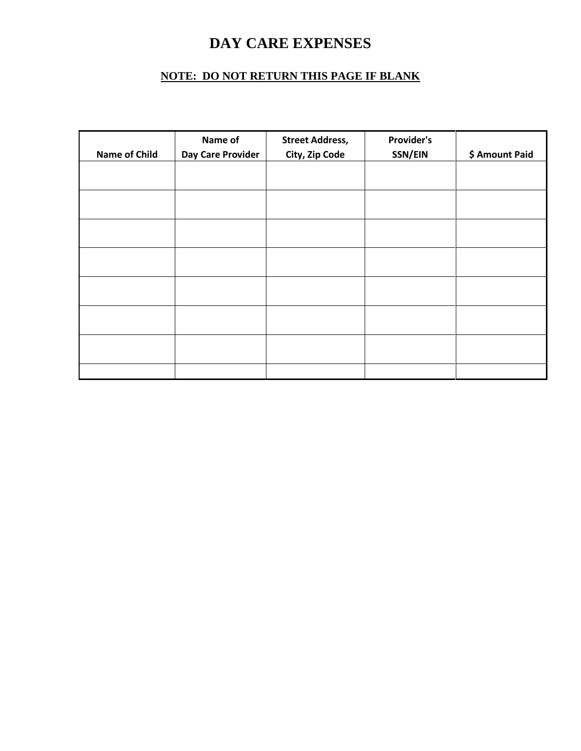# **DAY CARE EXPENSES**

# **NOTE: DO NOT RETURN THIS PAGE IF BLANK**

|                      | Name of                  | <b>Street Address,</b> | <b>Provider's</b> |                |
|----------------------|--------------------------|------------------------|-------------------|----------------|
| <b>Name of Child</b> | <b>Day Care Provider</b> | City, Zip Code         | SSN/EIN           | \$ Amount Paid |
|                      |                          |                        |                   |                |
|                      |                          |                        |                   |                |
|                      |                          |                        |                   |                |
|                      |                          |                        |                   |                |
|                      |                          |                        |                   |                |
|                      |                          |                        |                   |                |
|                      |                          |                        |                   |                |
|                      |                          |                        |                   |                |
|                      |                          |                        |                   |                |
|                      |                          |                        |                   |                |
|                      |                          |                        |                   |                |
|                      |                          |                        |                   |                |
|                      |                          |                        |                   |                |
|                      |                          |                        |                   |                |
|                      |                          |                        |                   |                |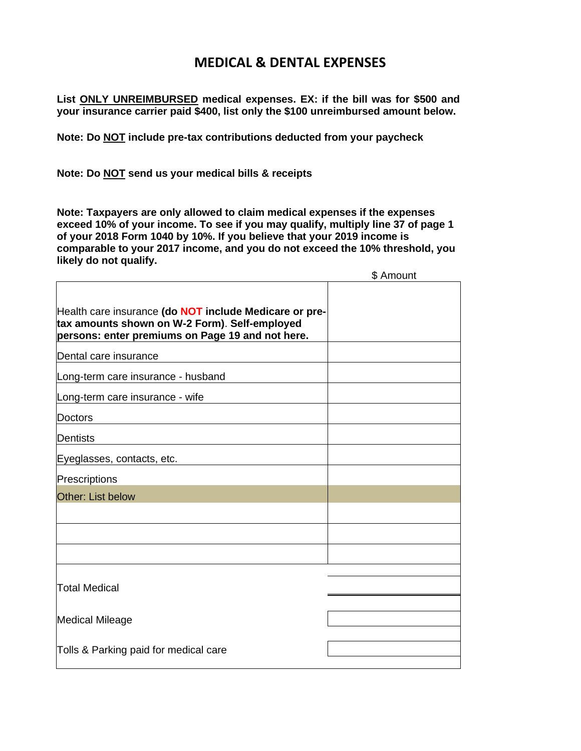# **MEDICAL & DENTAL EXPENSES**

**List ONLY UNREIMBURSED medical expenses. EX: if the bill was for \$500 and your insurance carrier paid \$400, list only the \$100 unreimbursed amount below.**

**Note: Do NOT include pre-tax contributions deducted from your paycheck**

**Note: Do NOT send us your medical bills & receipts**

**Note: Taxpayers are only allowed to claim medical expenses if the expenses exceed 10% of your income. To see if you may qualify, multiply line 37 of page 1 of your 2018 Form 1040 by 10%. If you believe that your 2019 income is comparable to your 2017 income, and you do not exceed the 10% threshold, you likely do not qualify.**

|                                                                                                                                                                    | \$ Amount |
|--------------------------------------------------------------------------------------------------------------------------------------------------------------------|-----------|
| Health care insurance (do <b>NOT</b> include Medicare or pre-<br>tax amounts shown on W-2 Form). Self-employed<br>persons: enter premiums on Page 19 and not here. |           |
| Dental care insurance                                                                                                                                              |           |
| Long-term care insurance - husband                                                                                                                                 |           |
| Long-term care insurance - wife                                                                                                                                    |           |
| Doctors                                                                                                                                                            |           |
| Dentists                                                                                                                                                           |           |
| Eyeglasses, contacts, etc.                                                                                                                                         |           |
| Prescriptions                                                                                                                                                      |           |
| Other: List below                                                                                                                                                  |           |
|                                                                                                                                                                    |           |
|                                                                                                                                                                    |           |
|                                                                                                                                                                    |           |
|                                                                                                                                                                    |           |
| <b>Total Medical</b>                                                                                                                                               |           |
|                                                                                                                                                                    |           |
| <b>Medical Mileage</b>                                                                                                                                             |           |
| Tolls & Parking paid for medical care                                                                                                                              |           |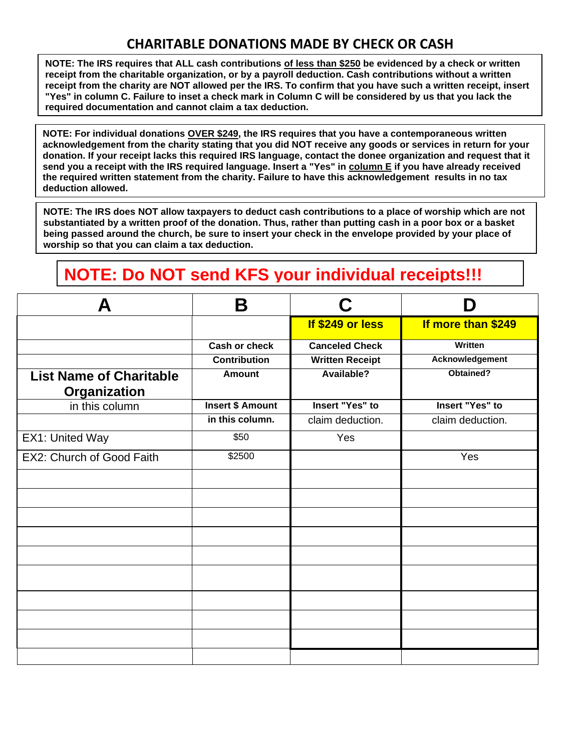# **CHARITABLE DONATIONS MADE BY CHECK OR CASH**

**NOTE: The IRS requires that ALL cash contributions of less than \$250 be evidenced by a check or written receipt from the charitable organization, or by a payroll deduction. Cash contributions without a written receipt from the charity are NOT allowed per the IRS. To confirm that you have such a written receipt, insert "Yes" in column C. Failure to inset a check mark in Column C will be considered by us that you lack the required documentation and cannot claim a tax deduction.**

**NOTE: For individual donations OVER \$249, the IRS requires that you have a contemporaneous written acknowledgement from the charity stating that you did NOT receive any goods or services in return for your donation. If your receipt lacks this required IRS language, contact the donee organization and request that it send you a receipt with the IRS required language. Insert a "Yes" in column E if you have already received the required written statement from the charity. Failure to have this acknowledgement results in no tax deduction allowed.**

**NOTE: The IRS does NOT allow taxpayers to deduct cash contributions to a place of worship which are not substantiated by a written proof of the donation. Thus, rather than putting cash in a poor box or a basket being passed around the church, be sure to insert your check in the envelope provided by your place of worship so that you can claim a tax deduction.**

# **NOTE: Do NOT send KFS your individual receipts!!!**

| Д                                              | B                       | C.                     | Ŋ                  |
|------------------------------------------------|-------------------------|------------------------|--------------------|
|                                                |                         | If \$249 or less       | If more than \$249 |
|                                                | <b>Cash or check</b>    | <b>Canceled Check</b>  | <b>Written</b>     |
|                                                | <b>Contribution</b>     | <b>Written Receipt</b> | Acknowledgement    |
| <b>List Name of Charitable</b><br>Organization | <b>Amount</b>           | Available?             | Obtained?          |
| in this column                                 | <b>Insert \$ Amount</b> | <b>Insert "Yes" to</b> | Insert "Yes" to    |
|                                                | in this column.         | claim deduction.       | claim deduction.   |
| EX1: United Way                                | \$50                    | Yes                    |                    |
| EX2: Church of Good Faith                      | \$2500                  |                        | Yes                |
|                                                |                         |                        |                    |
|                                                |                         |                        |                    |
|                                                |                         |                        |                    |
|                                                |                         |                        |                    |
|                                                |                         |                        |                    |
|                                                |                         |                        |                    |
|                                                |                         |                        |                    |
|                                                |                         |                        |                    |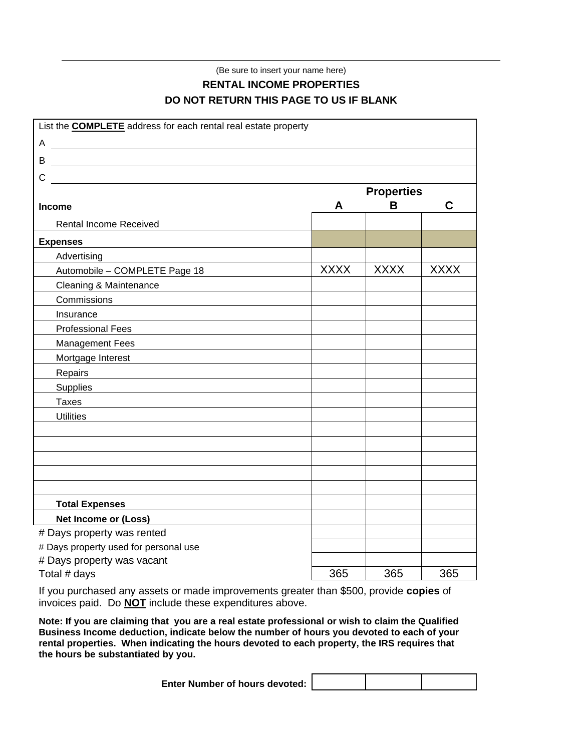# (Be sure to insert your name here) **RENTAL INCOME PROPERTIES DO NOT RETURN THIS PAGE TO US IF BLANK**

| List the <b>COMPLETE</b> address for each rental real estate property |             |                   |             |
|-----------------------------------------------------------------------|-------------|-------------------|-------------|
|                                                                       |             |                   |             |
| <u> 1989 - Johann Barbara, martin amerikan basa</u><br>B              |             |                   |             |
| С<br><u> 1989 - Johann Stoff, fransk politik (f. 1989)</u>            |             |                   |             |
|                                                                       |             | <b>Properties</b> |             |
| <b>Income</b>                                                         | A           | B                 | C           |
| <b>Rental Income Received</b>                                         |             |                   |             |
| <b>Expenses</b>                                                       |             |                   |             |
| Advertising                                                           |             |                   |             |
| Automobile - COMPLETE Page 18                                         | <b>XXXX</b> | <b>XXXX</b>       | <b>XXXX</b> |
| Cleaning & Maintenance                                                |             |                   |             |
| Commissions                                                           |             |                   |             |
| Insurance                                                             |             |                   |             |
| <b>Professional Fees</b>                                              |             |                   |             |
| <b>Management Fees</b>                                                |             |                   |             |
| Mortgage Interest                                                     |             |                   |             |
| Repairs                                                               |             |                   |             |
| <b>Supplies</b>                                                       |             |                   |             |
| <b>Taxes</b>                                                          |             |                   |             |
| <b>Utilities</b>                                                      |             |                   |             |
|                                                                       |             |                   |             |
|                                                                       |             |                   |             |
|                                                                       |             |                   |             |
|                                                                       |             |                   |             |
|                                                                       |             |                   |             |
| <b>Total Expenses</b>                                                 |             |                   |             |
| <b>Net Income or (Loss)</b>                                           |             |                   |             |
| # Days property was rented                                            |             |                   |             |
| # Days property used for personal use                                 |             |                   |             |
| # Days property was vacant                                            |             |                   |             |
| Total # days                                                          | 365         | 365               | 365         |

If you purchased any assets or made improvements greater than \$500, provide **copies** of invoices paid. Do **NOT** include these expenditures above.

**Note: If you are claiming that you are a real estate professional or wish to claim the Qualified Business Income deduction, indicate below the number of hours you devoted to each of your rental properties. When indicating the hours devoted to each property, the IRS requires that the hours be substantiated by you.**

| Enter Number of hours devoted: |  |  |  |
|--------------------------------|--|--|--|
|--------------------------------|--|--|--|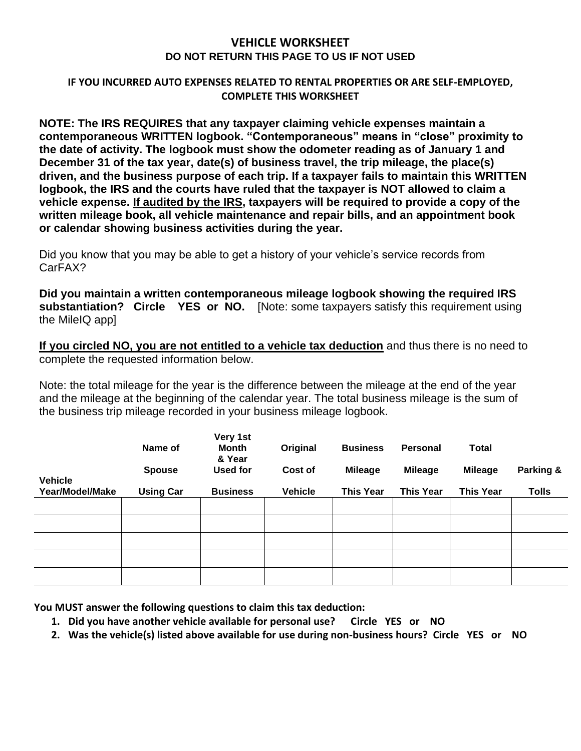#### **VEHICLE WORKSHEET DO NOT RETURN THIS PAGE TO US IF NOT USED**

#### **IF YOU INCURRED AUTO EXPENSES RELATED TO RENTAL PROPERTIES OR ARE SELF-EMPLOYED, COMPLETE THIS WORKSHEET**

**NOTE: The IRS REQUIRES that any taxpayer claiming vehicle expenses maintain a contemporaneous WRITTEN logbook. "Contemporaneous" means in "close" proximity to the date of activity. The logbook must show the odometer reading as of January 1 and December 31 of the tax year, date(s) of business travel, the trip mileage, the place(s) driven, and the business purpose of each trip. If a taxpayer fails to maintain this WRITTEN logbook, the IRS and the courts have ruled that the taxpayer is NOT allowed to claim a vehicle expense. If audited by the IRS, taxpayers will be required to provide a copy of the written mileage book, all vehicle maintenance and repair bills, and an appointment book or calendar showing business activities during the year.** 

Did you know that you may be able to get a history of your vehicle's service records from CarFAX?

**Did you maintain a written contemporaneous mileage logbook showing the required IRS substantiation? Circle YES or NO.** [Note: some taxpayers satisfy this requirement using the MileIQ app]

**If you circled NO, you are not entitled to a vehicle tax deduction** and thus there is no need to complete the requested information below.

Note: the total mileage for the year is the difference between the mileage at the end of the year and the mileage at the beginning of the calendar year. The total business mileage is the sum of the business trip mileage recorded in your business mileage logbook.

|                 | Name of          | Very 1st<br><b>Month</b><br>& Year | Original       | <b>Business</b>  | Personal         | <b>Total</b>     |              |
|-----------------|------------------|------------------------------------|----------------|------------------|------------------|------------------|--------------|
|                 | <b>Spouse</b>    | Used for                           | Cost of        | <b>Mileage</b>   | <b>Mileage</b>   | <b>Mileage</b>   | Parking &    |
| <b>Vehicle</b>  |                  |                                    |                |                  |                  |                  |              |
| Year/Model/Make | <b>Using Car</b> | <b>Business</b>                    | <b>Vehicle</b> | <b>This Year</b> | <b>This Year</b> | <b>This Year</b> | <b>Tolls</b> |
|                 |                  |                                    |                |                  |                  |                  |              |
|                 |                  |                                    |                |                  |                  |                  |              |
|                 |                  |                                    |                |                  |                  |                  |              |
|                 |                  |                                    |                |                  |                  |                  |              |
|                 |                  |                                    |                |                  |                  |                  |              |

**You MUST answer the following questions to claim this tax deduction:** 

- **1. Did you have another vehicle available for personal use? Circle YES or NO**
- **2. Was the vehicle(s) listed above available for use during non-business hours? Circle YES or NO**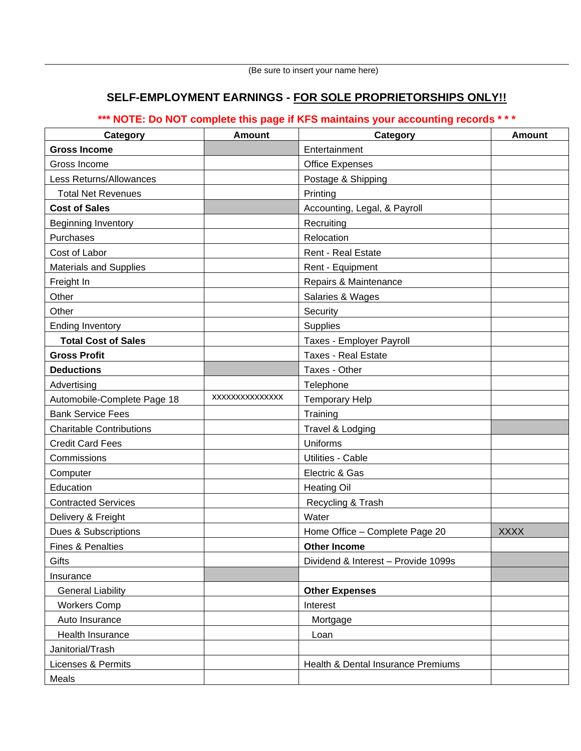# **SELF-EMPLOYMENT EARNINGS - FOR SOLE PROPRIETORSHIPS ONLY!!**

# **\*\*\* NOTE: Do NOT complete this page if KFS maintains your accounting records \* \* \***

| Category                        | <b>Amount</b>  | Category                            | <b>Amount</b> |
|---------------------------------|----------------|-------------------------------------|---------------|
| <b>Gross Income</b>             |                | Entertainment                       |               |
| Gross Income                    |                | <b>Office Expenses</b>              |               |
| Less Returns/Allowances         |                | Postage & Shipping                  |               |
| <b>Total Net Revenues</b>       |                | Printing                            |               |
| <b>Cost of Sales</b>            |                | Accounting, Legal, & Payroll        |               |
| <b>Beginning Inventory</b>      |                | Recruiting                          |               |
| Purchases                       |                | Relocation                          |               |
| Cost of Labor                   |                | <b>Rent - Real Estate</b>           |               |
| <b>Materials and Supplies</b>   |                | Rent - Equipment                    |               |
| Freight In                      |                | Repairs & Maintenance               |               |
| Other                           |                | Salaries & Wages                    |               |
| Other                           |                | Security                            |               |
| <b>Ending Inventory</b>         |                | Supplies                            |               |
| <b>Total Cost of Sales</b>      |                | Taxes - Employer Payroll            |               |
| <b>Gross Profit</b>             |                | <b>Taxes - Real Estate</b>          |               |
| <b>Deductions</b>               |                | Taxes - Other                       |               |
| Advertising                     |                | Telephone                           |               |
| Automobile-Complete Page 18     | XXXXXXXXXXXXXX | <b>Temporary Help</b>               |               |
| <b>Bank Service Fees</b>        |                | Training                            |               |
| <b>Charitable Contributions</b> |                | Travel & Lodging                    |               |
| <b>Credit Card Fees</b>         |                | Uniforms                            |               |
| Commissions                     |                | <b>Utilities - Cable</b>            |               |
| Computer                        |                | Electric & Gas                      |               |
| Education                       |                | <b>Heating Oil</b>                  |               |
| <b>Contracted Services</b>      |                | Recycling & Trash                   |               |
| Delivery & Freight              |                | Water                               |               |
| <b>Dues &amp; Subscriptions</b> |                | Home Office - Complete Page 20      | <b>XXXX</b>   |
| Fines & Penalties               |                | <b>Other Income</b>                 |               |
| Gifts                           |                | Dividend & Interest - Provide 1099s |               |
| Insurance                       |                |                                     |               |
| <b>General Liability</b>        |                | <b>Other Expenses</b>               |               |
| <b>Workers Comp</b>             |                | Interest                            |               |
| Auto Insurance                  |                | Mortgage                            |               |
| Health Insurance                |                | Loan                                |               |
| Janitorial/Trash                |                |                                     |               |
| Licenses & Permits              |                | Health & Dental Insurance Premiums  |               |
| Meals                           |                |                                     |               |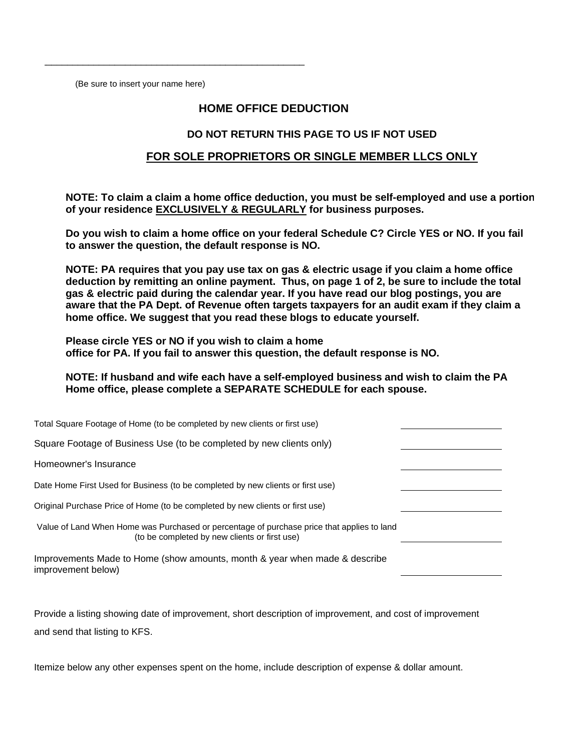(Be sure to insert your name here)

\_\_\_\_\_\_\_\_\_\_\_\_\_\_\_\_\_\_\_\_\_\_\_\_\_\_\_\_\_\_\_\_\_\_\_\_\_\_\_\_\_\_\_\_\_\_\_\_\_\_

#### **HOME OFFICE DEDUCTION**

#### **DO NOT RETURN THIS PAGE TO US IF NOT USED**

#### **FOR SOLE PROPRIETORS OR SINGLE MEMBER LLCS ONLY**

**NOTE: To claim a claim a home office deduction, you must be self-employed and use a portion of your residence EXCLUSIVELY & REGULARLY for business purposes.**

**Do you wish to claim a home office on your federal Schedule C? Circle YES or NO. If you fail to answer the question, the default response is NO.**

**NOTE: PA requires that you pay use tax on gas & electric usage if you claim a home office deduction by remitting an online payment. Thus, on page 1 of 2, be sure to include the total gas & electric paid during the calendar year. If you have read our blog postings, you are aware that the PA Dept. of Revenue often targets taxpayers for an audit exam if they claim a home office. We suggest that you read these blogs to educate yourself.** 

**Please circle YES or NO if you wish to claim a home office for PA. If you fail to answer this question, the default response is NO.** 

**NOTE: If husband and wife each have a self-employed business and wish to claim the PA Home office, please complete a SEPARATE SCHEDULE for each spouse.**

| Total Square Footage of Home (to be completed by new clients or first use)                                                                  |  |
|---------------------------------------------------------------------------------------------------------------------------------------------|--|
| Square Footage of Business Use (to be completed by new clients only)                                                                        |  |
| Homeowner's Insurance                                                                                                                       |  |
| Date Home First Used for Business (to be completed by new clients or first use)                                                             |  |
| Original Purchase Price of Home (to be completed by new clients or first use)                                                               |  |
| Value of Land When Home was Purchased or percentage of purchase price that applies to land<br>(to be completed by new clients or first use) |  |
| Improvements Made to Home (show amounts, month & year when made & describe<br>improvement below)                                            |  |

Provide a listing showing date of improvement, short description of improvement, and cost of improvement and send that listing to KFS.

Itemize below any other expenses spent on the home, include description of expense & dollar amount.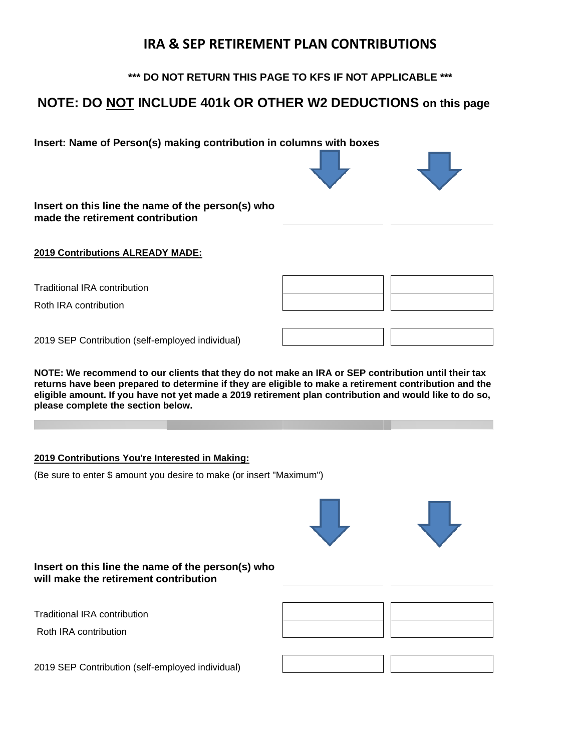# **IRA & SEP RETIREMENT PLAN CONTRIBUTIONS**

**\*\*\* DO NOT RETURN THIS PAGE TO KFS IF NOT APPLICABLE \*\*\***

# **NOTE: DO NOT INCLUDE 401k OR OTHER W2 DEDUCTIONS on this page**

**Insert: Name of Person(s) making contribution in columns with boxes**



**Insert on this line the name of the person(s) who made the retirement contribution**

#### **2019 Contributions ALREADY MADE:**

Traditional IRA contribution

Roth IRA contribution

2019 SEP Contribution (self-employed individual)

**NOTE: We recommend to our clients that they do not make an IRA or SEP contribution until their tax returns have been prepared to determine if they are eligible to make a retirement contribution and the eligible amount. If you have not yet made a 2019 retirement plan contribution and would like to do so, please complete the section below.**

#### **2019 Contributions You're Interested in Making:**

(Be sure to enter \$ amount you desire to make (or insert "Maximum")





#### **Insert on this line the name of the person(s) who will make the retirement contribution**

Traditional IRA contribution

Roth IRA contribution

2019 SEP Contribution (self-employed individual)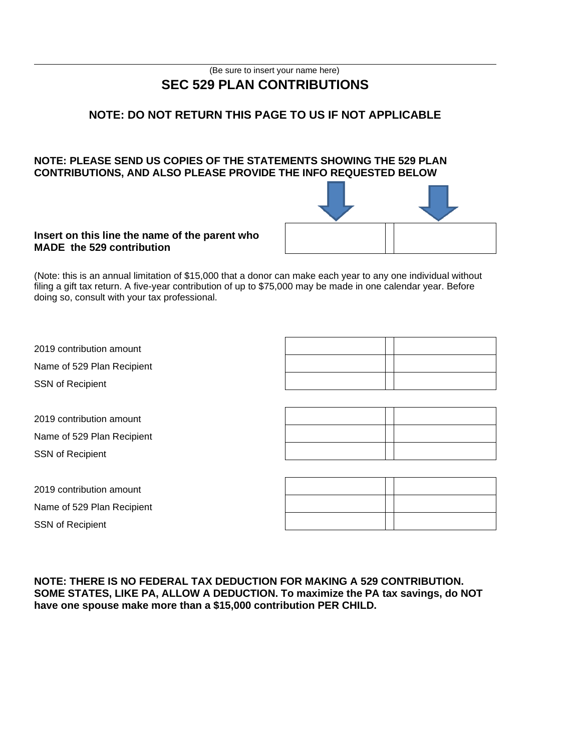# (Be sure to insert your name here) **SEC 529 PLAN CONTRIBUTIONS**

# **NOTE: DO NOT RETURN THIS PAGE TO US IF NOT APPLICABLE**

#### **NOTE: PLEASE SEND US COPIES OF THE STATEMENTS SHOWING THE 529 PLAN CONTRIBUTIONS, AND ALSO PLEASE PROVIDE THE INFO REQUESTED BELOW**



#### **Insert on this line the name of the parent who MADE the 529 contribution**

(Note: this is an annual limitation of \$15,000 that a donor can make each year to any one individual without filing a gift tax return. A five-year contribution of up to \$75,000 may be made in one calendar year. Before doing so, consult with your tax professional.

| 2019 contribution amount   |  |  |
|----------------------------|--|--|
| Name of 529 Plan Recipient |  |  |
| <b>SSN of Recipient</b>    |  |  |

2019 contribution amount Name of 529 Plan Recipient SSN of Recipient

2019 contribution amount Name of 529 Plan Recipient SSN of Recipient

**NOTE: THERE IS NO FEDERAL TAX DEDUCTION FOR MAKING A 529 CONTRIBUTION. SOME STATES, LIKE PA, ALLOW A DEDUCTION. To maximize the PA tax savings, do NOT have one spouse make more than a \$15,000 contribution PER CHILD.**